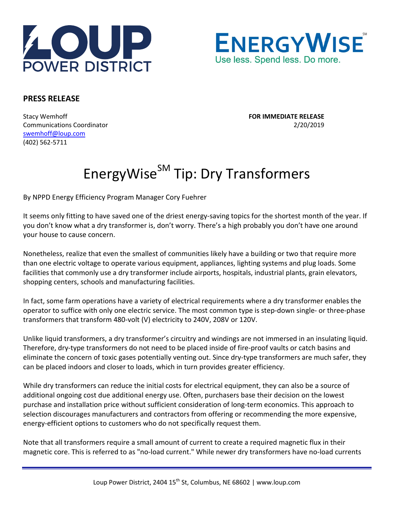



## **PRESS RELEASE**

Stacy Wemhoff **FOR IMMEDIATE RELEASE** Communications Coordinator 2/20/2019 [swemhoff@loup.com](mailto:swemhoff@loup.com)  (402) 562-5711

## EnergyWise<sup>SM</sup> Tip: Dry Transformers

By NPPD Energy Efficiency Program Manager Cory Fuehrer

It seems only fitting to have saved one of the driest energy-saving topics for the shortest month of the year. If you don't know what a dry transformer is, don't worry. There's a high probably you don't have one around your house to cause concern.

Nonetheless, realize that even the smallest of communities likely have a building or two that require more than one electric voltage to operate various equipment, appliances, lighting systems and plug loads. Some facilities that commonly use a dry transformer include airports, hospitals, industrial plants, grain elevators, shopping centers, schools and manufacturing facilities.

In fact, some farm operations have a variety of electrical requirements where a dry transformer enables the operator to suffice with only one electric service. The most common type is step-down single- or three-phase transformers that transform 480-volt (V) electricity to 240V, 208V or 120V.

Unlike liquid transformers, a dry transformer's circuitry and windings are not immersed in an insulating liquid. Therefore, dry-type transformers do not need to be placed inside of fire-proof vaults or catch basins and eliminate the concern of toxic gases potentially venting out. Since dry-type transformers are much safer, they can be placed indoors and closer to loads, which in turn provides greater efficiency.

While dry transformers can reduce the initial costs for electrical equipment, they can also be a source of additional ongoing cost due additional energy use. Often, purchasers base their decision on the lowest purchase and installation price without sufficient consideration of long-term economics. This approach to selection discourages manufacturers and contractors from offering or recommending the more expensive, energy-efficient options to customers who do not specifically request them.

Note that all transformers require a small amount of current to create a required magnetic flux in their magnetic core. This is referred to as "no-load current." While newer dry transformers have no-load currents